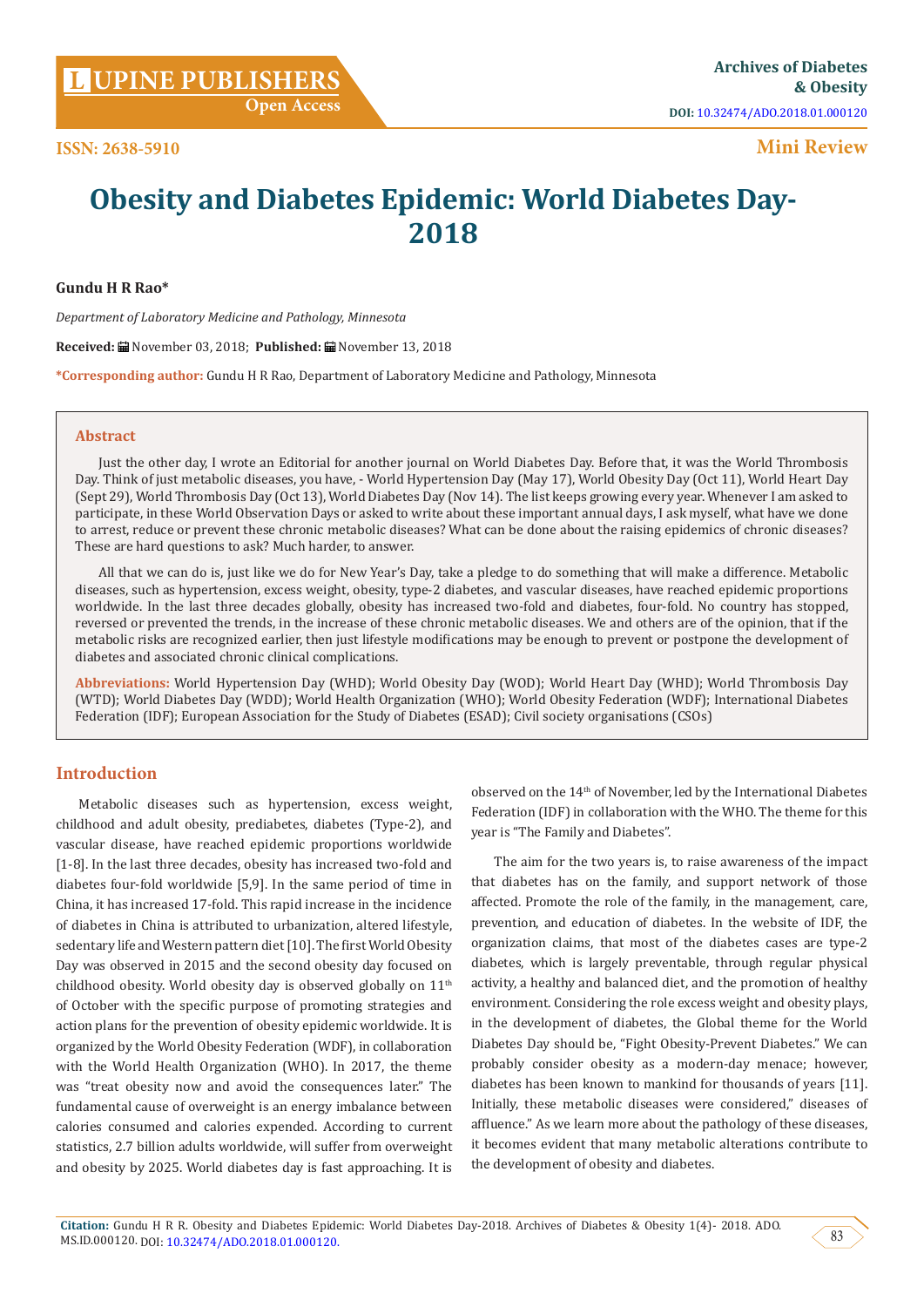**[UPINE PUBLISHERS](http://www.lupinepublishers.com/) L Archives of Diabetes** 

**Mini Review**

# **Obesity and Diabetes Epidemic: World Diabetes Day-2018**

**Gundu H R Rao\***

*Department of Laboratory Medicine and Pathology, Minnesota*

**Received:** November 03, 2018; **Published:** November 13, 2018

**\*Corresponding author:** Gundu H R Rao, Department of Laboratory Medicine and Pathology, Minnesota

### **Abstract**

Just the other day, I wrote an Editorial for another journal on World Diabetes Day. Before that, it was the World Thrombosis Day. Think of just metabolic diseases, you have, - World Hypertension Day (May 17), World Obesity Day (Oct 11), World Heart Day (Sept 29), World Thrombosis Day (Oct 13), World Diabetes Day (Nov 14). The list keeps growing every year. Whenever I am asked to participate, in these World Observation Days or asked to write about these important annual days, I ask myself, what have we done to arrest, reduce or prevent these chronic metabolic diseases? What can be done about the raising epidemics of chronic diseases? These are hard questions to ask? Much harder, to answer.

All that we can do is, just like we do for New Year's Day, take a pledge to do something that will make a difference. Metabolic diseases, such as hypertension, excess weight, obesity, type-2 diabetes, and vascular diseases, have reached epidemic proportions worldwide. In the last three decades globally, obesity has increased two-fold and diabetes, four-fold. No country has stopped, reversed or prevented the trends, in the increase of these chronic metabolic diseases. We and others are of the opinion, that if the metabolic risks are recognized earlier, then just lifestyle modifications may be enough to prevent or postpone the development of diabetes and associated chronic clinical complications.

**Abbreviations:** World Hypertension Day (WHD); World Obesity Day (WOD); World Heart Day (WHD); World Thrombosis Day (WTD); World Diabetes Day (WDD); World Health Organization (WHO); World Obesity Federation (WDF); International Diabetes Federation (IDF); European Association for the Study of Diabetes (ESAD); Civil society organisations (CSOs)

## **Introduction**

Metabolic diseases such as hypertension, excess weight, childhood and adult obesity, prediabetes, diabetes (Type-2), and vascular disease, have reached epidemic proportions worldwide [1-8]. In the last three decades, obesity has increased two-fold and diabetes four-fold worldwide [5,9]. In the same period of time in China, it has increased 17-fold. This rapid increase in the incidence of diabetes in China is attributed to urbanization, altered lifestyle, sedentary life and Western pattern diet [10]. The first World Obesity Day was observed in 2015 and the second obesity day focused on childhood obesity. World obesity day is observed globally on 11<sup>th</sup> of October with the specific purpose of promoting strategies and action plans for the prevention of obesity epidemic worldwide. It is organized by the World Obesity Federation (WDF), in collaboration with the World Health Organization (WHO). In 2017, the theme was "treat obesity now and avoid the consequences later." The fundamental cause of overweight is an energy imbalance between calories consumed and calories expended. According to current statistics, 2.7 billion adults worldwide, will suffer from overweight and obesity by 2025. World diabetes day is fast approaching. It is

observed on the 14th of November, led by the International Diabetes Federation (IDF) in collaboration with the WHO. The theme for this year is "The Family and Diabetes".

The aim for the two years is, to raise awareness of the impact that diabetes has on the family, and support network of those affected. Promote the role of the family, in the management, care, prevention, and education of diabetes. In the website of IDF, the organization claims, that most of the diabetes cases are type-2 diabetes, which is largely preventable, through regular physical activity, a healthy and balanced diet, and the promotion of healthy environment. Considering the role excess weight and obesity plays, in the development of diabetes, the Global theme for the World Diabetes Day should be, "Fight Obesity-Prevent Diabetes." We can probably consider obesity as a modern-day menace; however, diabetes has been known to mankind for thousands of years [11]. Initially, these metabolic diseases were considered," diseases of affluence." As we learn more about the pathology of these diseases, it becomes evident that many metabolic alterations contribute to the development of obesity and diabetes.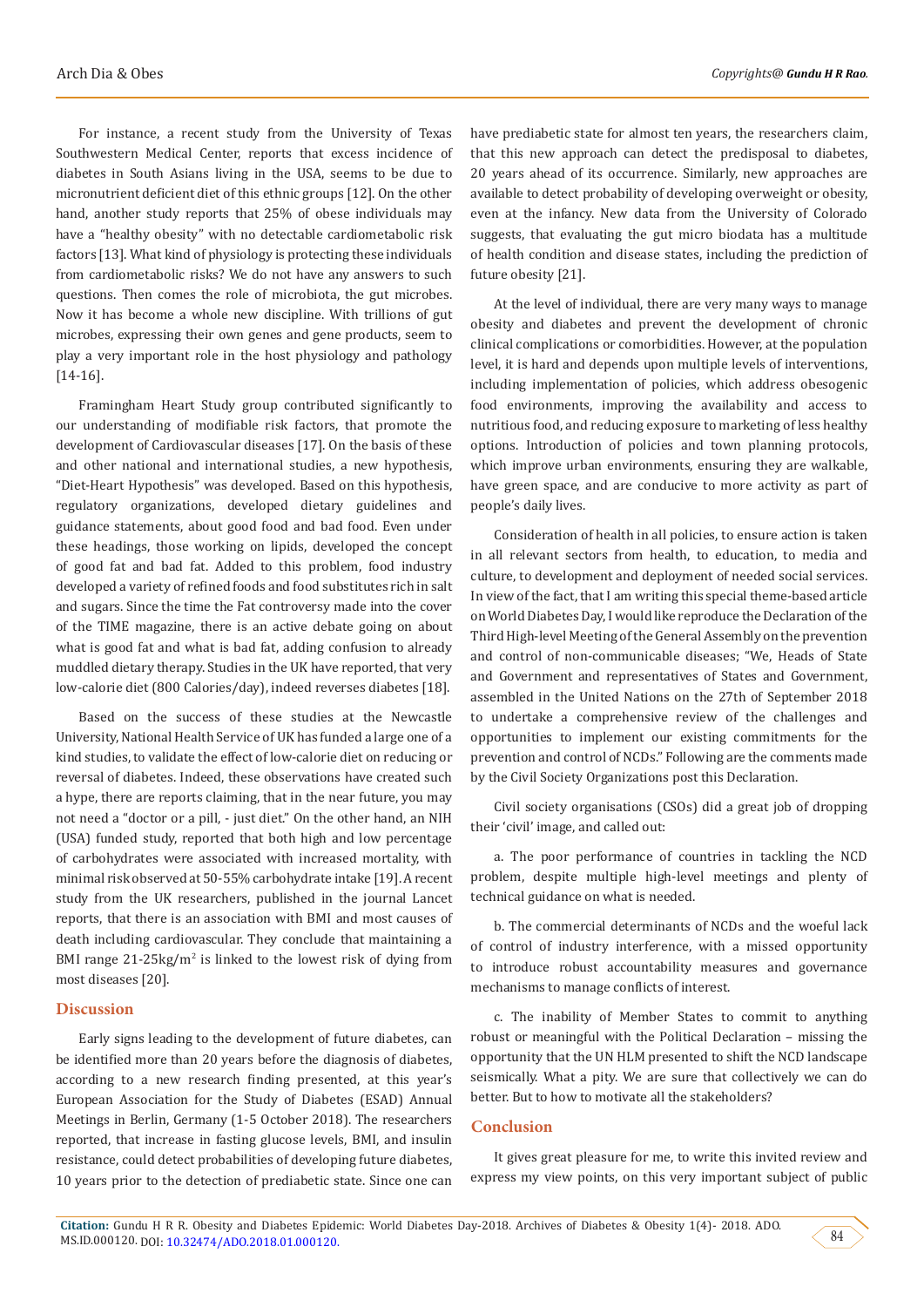For instance, a recent study from the University of Texas Southwestern Medical Center, reports that excess incidence of diabetes in South Asians living in the USA, seems to be due to micronutrient deficient diet of this ethnic groups [12]. On the other hand, another study reports that 25% of obese individuals may have a "healthy obesity" with no detectable cardiometabolic risk factors [13]. What kind of physiology is protecting these individuals from cardiometabolic risks? We do not have any answers to such questions. Then comes the role of microbiota, the gut microbes. Now it has become a whole new discipline. With trillions of gut microbes, expressing their own genes and gene products, seem to play a very important role in the host physiology and pathology [14-16].

Framingham Heart Study group contributed significantly to our understanding of modifiable risk factors, that promote the development of Cardiovascular diseases [17]. On the basis of these and other national and international studies, a new hypothesis, "Diet-Heart Hypothesis" was developed. Based on this hypothesis, regulatory organizations, developed dietary guidelines and guidance statements, about good food and bad food. Even under these headings, those working on lipids, developed the concept of good fat and bad fat. Added to this problem, food industry developed a variety of refined foods and food substitutes rich in salt and sugars. Since the time the Fat controversy made into the cover of the TIME magazine, there is an active debate going on about what is good fat and what is bad fat, adding confusion to already muddled dietary therapy. Studies in the UK have reported, that very low-calorie diet (800 Calories/day), indeed reverses diabetes [18].

Based on the success of these studies at the Newcastle University, National Health Service of UK has funded a large one of a kind studies, to validate the effect of low-calorie diet on reducing or reversal of diabetes. Indeed, these observations have created such a hype, there are reports claiming, that in the near future, you may not need a "doctor or a pill, - just diet." On the other hand, an NIH (USA) funded study, reported that both high and low percentage of carbohydrates were associated with increased mortality, with minimal risk observed at 50-55% carbohydrate intake [19]. A recent study from the UK researchers, published in the journal Lancet reports, that there is an association with BMI and most causes of death including cardiovascular. They conclude that maintaining a BMI range 21-25kg/m<sup>2</sup> is linked to the lowest risk of dying from most diseases [20].

## **Discussion**

Early signs leading to the development of future diabetes, can be identified more than 20 years before the diagnosis of diabetes, according to a new research finding presented, at this year's European Association for the Study of Diabetes (ESAD) Annual Meetings in Berlin, Germany (1-5 October 2018). The researchers reported, that increase in fasting glucose levels, BMI, and insulin resistance, could detect probabilities of developing future diabetes, 10 years prior to the detection of prediabetic state. Since one can

have prediabetic state for almost ten years, the researchers claim, that this new approach can detect the predisposal to diabetes, 20 years ahead of its occurrence. Similarly, new approaches are available to detect probability of developing overweight or obesity, even at the infancy. New data from the University of Colorado suggests, that evaluating the gut micro biodata has a multitude of health condition and disease states, including the prediction of future obesity [21].

At the level of individual, there are very many ways to manage obesity and diabetes and prevent the development of chronic clinical complications or comorbidities. However, at the population level, it is hard and depends upon multiple levels of interventions, including implementation of policies, which address obesogenic food environments, improving the availability and access to nutritious food, and reducing exposure to marketing of less healthy options. Introduction of policies and town planning protocols, which improve urban environments, ensuring they are walkable, have green space, and are conducive to more activity as part of people's daily lives.

Consideration of health in all policies, to ensure action is taken in all relevant sectors from health, to education, to media and culture, to development and deployment of needed social services. In view of the fact, that I am writing this special theme-based article on World Diabetes Day, I would like reproduce the Declaration of the Third High-level Meeting of the General Assembly on the prevention and control of non-communicable diseases; "We, Heads of State and Government and representatives of States and Government, assembled in the United Nations on the 27th of September 2018 to undertake a comprehensive review of the challenges and opportunities to implement our existing commitments for the prevention and control of NCDs." Following are the comments made by the Civil Society Organizations post this Declaration.

Civil society organisations (CSOs) did a great job of dropping their 'civil' image, and called out:

a. The poor performance of countries in tackling the NCD problem, despite multiple high-level meetings and plenty of technical guidance on what is needed.

b. The commercial determinants of NCDs and the woeful lack of control of industry interference, with a missed opportunity to introduce robust accountability measures and governance mechanisms to manage conflicts of interest.

c. The inability of Member States to commit to anything robust or meaningful with the Political Declaration – missing the opportunity that the UN HLM presented to shift the NCD landscape seismically. What a pity. We are sure that collectively we can do better. But to how to motivate all the stakeholders?

## **Conclusion**

It gives great pleasure for me, to write this invited review and express my view points, on this very important subject of public